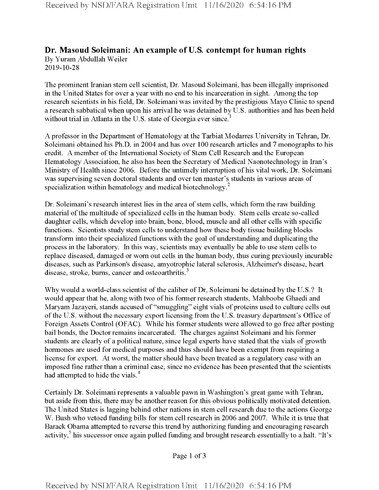## **Dr. Masoud Soleimani: An example ofU.S. contempt for human rights** By Yuram Abdullah Weiler 2019-10-28

The prominent Iranian stem cell scientist, Dr. Masoud Soleimani, has been illegally imprisoned in the United States for over a year with no end to his incarceration in sight. Among the top research scientists in his field, Dr. Soleimani was invited by the prestigious Mayo Clinic to spend a research sabbatical when upon his arrival he was detained by U.S. authorities and has been held without trial in Atlanta in the U.S. state of Georgia ever since.<sup>1</sup>

A professor in the Department of Hematology at the Tarbiat Modarres University in Tehran, Dr. Soleimani obtained his Ph.D. in 2004 and has over 100 research articles and 7 monographs to his credit. A member of the International Society of Stem Cell Research and the European Hematology Association, he also has been the Secretary of Medical Naonotechnology in Iran's Ministry of Health since 2006. Before the untimely interruption of his vital work, Dr. Soleimani was supervising seven doctoral students and over ten master's students in various areas of specialization within hematology and medical biotechnology.<sup>2</sup>

Dr. Soleimani's research interest lies in the area of stem cells, which form the raw building material of the multitude of specialized cells in the human body. Stem cells create so-called daughter cells, which develop into brain, bone, blood, muscle and all other cells with specific functions. Scientists study stem cells to understand how these body tissue building blocks transform into their specialized functions with the goal of understanding and duplicating the process in the laboratory. In this way, scientists may eventually be able to use stem cells to replace diseased, damaged or worn out cells in the human body, thus curing previously incurable diseases, such as Parkinson's disease, amyotrophic lateral sclerosis, Alzheimer's disease, heart disease, stroke, burns, cancer and osteoarthritis.<sup>3</sup>

Why would a world-class scientist of the caliber of Dr, Soleimani be detained by the U.S.? It would appear that he, along with two of his former research students, Mahboobe Ghaedi and Maryam Jazayeri, stands accused of "smuggling" eight vials of proteins used to culture cells out of the U.S. without the necessary export licensing from the U.S. treasury department's Office of Foreign Assets Control (OFAC). While his former students were allowed to go free after posting bail bonds, the Doctor remains incarcerated. The charges against Soleimani and his former students are clearly of a political nature, since legal experts have stated that the vials of growth hormones are used for medical purposes and thus should have been exempt from requiring a license for export. At worst, the matter should have been treated as a regulatory case with an imposed fine rather than a criminal case, since no evidence has been presented that the scientists had attempted to hide the vials.<sup>4</sup>

Certainly Dr. Soleimani represents a valuable pawn in Washington's great game with Tehran, but aside from this, there may be another reason for this obvious politically motivated detention. The United States is lagging behind other nations in stem cell research due to the actions George W. Bush who vetoed funding bills for stem cell research in 2006 and 2007. While it is tme that Barack Obama attempted to reverse this trend by authorizing funding and encouraging research activity,<sup>5</sup> his successor once again pulled funding and brought research essentially to a halt. "It's

Page 1 of 3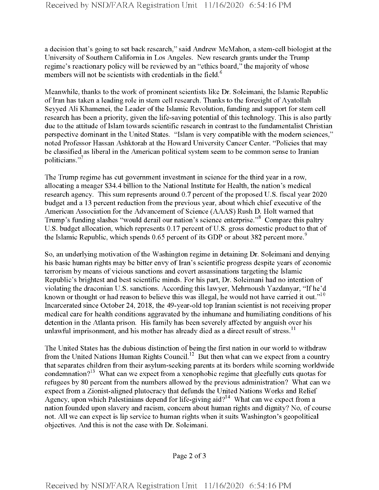a decision that's going to set back research," said Andrew McMahon, a stem-cell biologist at the University of Southern California in Los Angeles. New research grants under the Trump regime's reactionary policy will be reviewed by an "ethics board," the majority of whose members will not be scientists with credentials in the field.<sup>6</sup>

Meanwhile, thanks to the work of prominent scientists like Dr. Soleimani, the Islamic Republic of Iran has taken a leading role in stem cell research. Thanks to the foresight of Ayatollah Seyyed Ali Khamenei, the Leader of the Islamic Revolution, funding and support for stem cell research has been a priority, given the life-saving potential of this technology. This is also partly due to the attitude of Islam towards scientific research in contrast to the fundamentalist Christian perspective dominant in the United States. "Islam is very compatible with the modem sciences," noted Professor Hassan Ashktorab at the Howard University Cancer Center. "Policies that may be classified as liberal in the American political system seem to be common sense to Iranian politicians."

The Trump regime has cut government investment in science for the third year in a row, allocating a meager \$34.4 billion to the National Institute for Health, the nation's medical research agency. This sum represents around 0.7 percent of the proposed U.S. fiscal year 2020 budget and a 13 percent reduction from the previous year, about which chief executive of the American Association for the Advancement of Science (AAAS) Rush D. Holt warned that Trump's funding slashes "would derail our nation's science enterprise."<sup>8</sup> Compare this paltry U.S. budget allocation, which represents 0.17 percent of U.S. gross domestic product to that of the Islamic Republic, which spends 0.65 percent of its GDP or about 382 percent more.<sup>9</sup>

So, an underlying motivation of the Washington regime in detaining Dr. Soleimani and denying his basic human rights may be bitter envy of Iran's scientific progress despite years of economic terrorism by means ofvicious sanctions and covert assassinations targeting the Islamic Republic's brightest and best scientific minds. For his part, Dr. Soleimani had no intention of violating the draconian U.S. sanctions. According this lawyer, Mehmoush Yazdanyar, "Ifhe'd known or thought or had reason to believe this was illegal, he would not have carried it out."<sup>10</sup> Incarcerated since October 24, 2018, the 49-year-old top Iranian scientist is not receiving proper medical care for health conditions aggravated by the inhumane and humiliating conditions ofhis detention in the Atlanta prison. His family has been severely affected by anguish over his unlawful imprisonment, and his mother has already died as a direct result of stress.<sup>11</sup>

The United States has the dubious distinction of being the first nation in our world to withdraw from the United Nations Human Rights Council.<sup>12</sup> But then what can we expect from a country that separates children from their asylum-seeking parents at its borders while scorning worldwide condemnation?<sup>13</sup> What can we expect from a xenophobic regime that gleefully cuts quotas for refugees by 80 percent from the numbers allowed by the previous administration? What can we expect from a Zionist-aligned plutocracy that defunds the United Nations Works and Relief Agency, upon which Palestinians depend for life-giving aid?<sup>14</sup> What can we expect from a nation founded upon slavery and racism, concern about human rights and dignity? No, of course not. All we can expect is lip service to human rights when it suits Washington's geopolitical objectives. And this is not the case with Dr. Soleimani.

Page 2 of <sup>3</sup>